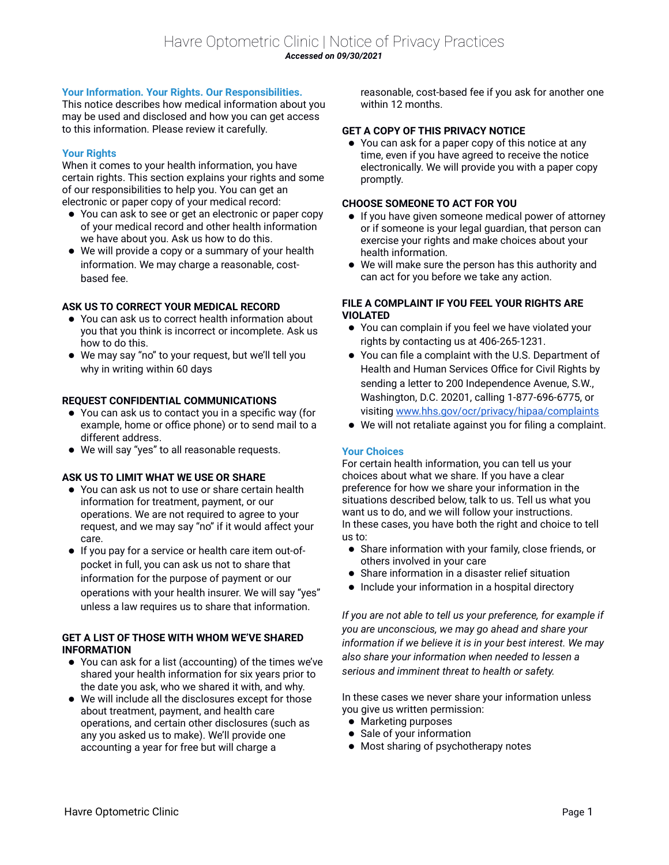# **Your Information. Your Rights. Our Responsibilities.**

This notice describes how medical information about you may be used and disclosed and how you can get access to this information. Please review it carefully.

## **Your Rights**

When it comes to your health information, you have certain rights. This section explains your rights and some of our responsibilities to help you. You can get an electronic or paper copy of your medical record:

- You can ask to see or get an electronic or paper copy of your medical record and other health information we have about you. Ask us how to do this.
- We will provide a copy or a summary of your health information. We may charge a reasonable, costbased fee.

# **ASK US TO CORRECT YOUR MEDICAL RECORD**

- You can ask us to correct health information about you that you think is incorrect or incomplete. Ask us how to do this.
- We may say "no" to your request, but we'll tell you why in writing within 60 days

### **REQUEST CONFIDENTIAL COMMUNICATIONS**

- You can ask us to contact you in a specific way (for example, home or office phone) or to send mail to a different address.
- We will say "yes" to all reasonable requests.

### **ASK US TO LIMIT WHAT WE USE OR SHARE**

- You can ask us not to use or share certain health information for treatment, payment, or our operations. We are not required to agree to your request, and we may say "no" if it would affect your care.
- If you pay for a service or health care item out-ofpocket in full, you can ask us not to share that information for the purpose of payment or our operations with your health insurer. We will say "yes" unless a law requires us to share that information.

### **GET A LIST OF THOSE WITH WHOM WE'VE SHARED INFORMATION**

- You can ask for a list (accounting) of the times we've shared your health information for six years prior to the date you ask, who we shared it with, and why.
- We will include all the disclosures except for those about treatment, payment, and health care operations, and certain other disclosures (such as any you asked us to make). We'll provide one accounting a year for free but will charge a

reasonable, cost-based fee if you ask for another one within 12 months.

#### **GET A COPY OF THIS PRIVACY NOTICE**

 You can ask for a paper copy of this notice at any time, even if you have agreed to receive the notice electronically. We will provide you with a paper copy promptly.

### **CHOOSE SOMEONE TO ACT FOR YOU**

- If you have given someone medical power of attorney or if someone is your legal guardian, that person can exercise your rights and make choices about your health information.
- We will make sure the person has this authority and can act for you before we take any action.

### **FILE A COMPLAINT IF YOU FEEL YOUR RIGHTS ARE VIOLATED**

- You can complain if you feel we have violated your rights by contacting us at 406-265-1231.
- You can file a complaint with the U.S. Department of Health and Human Services Office for Civil Rights by sending a letter to 200 Independence Avenue, S.W., Washington, D.C. 20201, calling 1-877-696-6775, or visiting [www.hhs.gov/ocr/privacy/hipaa/complaints](http://www.hhs.gov/ocr/privacy/hipaa/complaints)
- We will not retaliate against you for filing a complaint.

### **Your Choices**

For certain health information, you can tell us your choices about what we share. If you have a clear preference for how we share your information in the situations described below, talk to us. Tell us what you want us to do, and we will follow your instructions. In these cases, you have both the right and choice to tell us to:

- Share information with your family, close friends, or others involved in your care
- Share information in a disaster relief situation
- Include your information in a hospital directory

*If you are not able to tell us your preference, for example if you are unconscious, we may go ahead and share your information if we believe it is in your best interest. We may also share your information when needed to lessen a serious and imminent threat to health or safety.*

In these cases we never share your information unless you give us written permission:

- Marketing purposes
- Sale of your information
- Most sharing of psychotherapy notes